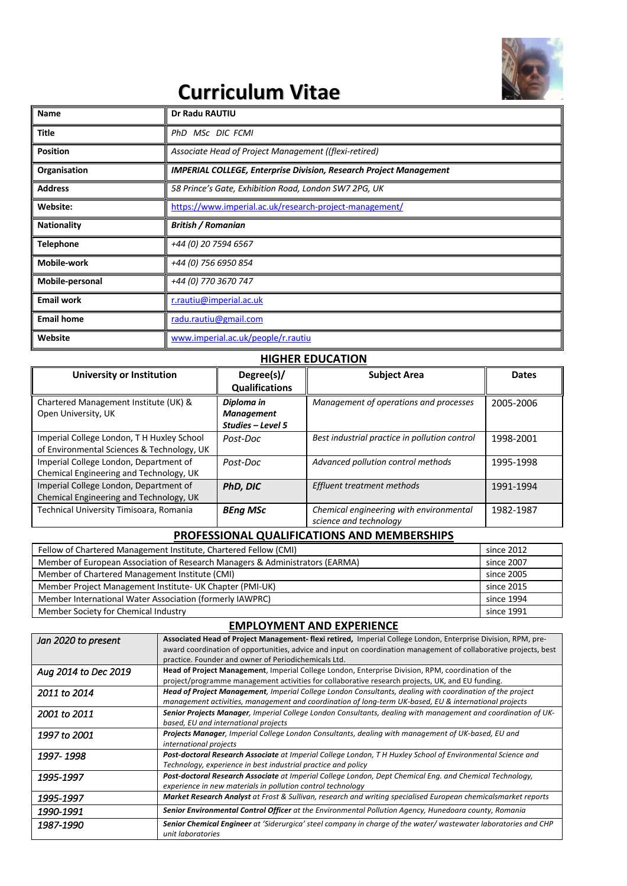

# **Curriculum Vitae**

| Name               | <b>Dr Radu RAUTIU</b>                                                     |
|--------------------|---------------------------------------------------------------------------|
| <b>Title</b>       | PhD MSc DIC FCMI                                                          |
| <b>Position</b>    | Associate Head of Project Management ((flexi-retired)                     |
| Organisation       | <b>IMPERIAL COLLEGE, Enterprise Division, Research Project Management</b> |
| <b>Address</b>     | 58 Prince's Gate, Exhibition Road, London SW7 2PG, UK                     |
| Website:           | https://www.imperial.ac.uk/research-project-management/                   |
| <b>Nationality</b> | <b>British / Romanian</b>                                                 |
| <b>Telephone</b>   | +44 (0) 20 7594 6567                                                      |
| <b>Mobile-work</b> | +44 (0) 756 6950 854                                                      |
| Mobile-personal    | +44 (0) 770 3670 747                                                      |
| <b>Email work</b>  | r.rautiu@imperial.ac.uk                                                   |
| <b>Email home</b>  | radu.rautiu@gmail.com                                                     |
| Website            | www.imperial.ac.uk/people/r.rautiu                                        |

# **HIGHER EDUCATION**

| <b>University or Institution</b>                                                         | Degree(s)/<br><b>Qualifications</b>                  | <b>Subject Area</b>                                               | <b>Dates</b> |
|------------------------------------------------------------------------------------------|------------------------------------------------------|-------------------------------------------------------------------|--------------|
| Chartered Management Institute (UK) &<br>Open University, UK                             | Diploma in<br><b>Management</b><br>Studies - Level 5 | Management of operations and processes                            | 2005-2006    |
| Imperial College London, T H Huxley School<br>of Environmental Sciences & Technology, UK | Post-Doc                                             | Best industrial practice in pollution control                     | 1998-2001    |
| Imperial College London, Department of<br>Chemical Engineering and Technology, UK        | Post-Doc                                             | Advanced pollution control methods                                | 1995-1998    |
| Imperial College London, Department of<br>Chemical Engineering and Technology, UK        | PhD, DIC                                             | Effluent treatment methods                                        | 1991-1994    |
| Technical University Timisoara, Romania                                                  | <b>BEng MSc</b>                                      | Chemical engineering with environmental<br>science and technology | 1982-1987    |

# **PROFESSIONAL QUALIFICATIONS AND MEMBERSHIPS**

| Fellow of Chartered Management Institute, Chartered Fellow (CMI)             | since 2012 |
|------------------------------------------------------------------------------|------------|
| Member of European Association of Research Managers & Administrators (EARMA) | since 2007 |
| Member of Chartered Management Institute (CMI)                               | since 2005 |
| Member Project Management Institute- UK Chapter (PMI-UK)                     | since 2015 |
| Member International Water Association (formerly IAWPRC)                     | since 1994 |
| Member Society for Chemical Industry                                         | since 1991 |

### **EMPLOYMENT AND EXPERIENCE**

| Jan 2020 to present  | Associated Head of Project Management-flexi retired, Imperial College London, Enterprise Division, RPM, pre-                         |
|----------------------|--------------------------------------------------------------------------------------------------------------------------------------|
|                      | award coordination of opportunities, advice and input on coordination management of collaborative projects, best                     |
|                      | practice. Founder and owner of Periodichemicals Ltd.                                                                                 |
| Aug 2014 to Dec 2019 | Head of Project Management, Imperial College London, Enterprise Division, RPM, coordination of the                                   |
|                      | project/programme management activities for collaborative research projects, UK, and EU funding.                                     |
| <b>2011 to 2014</b>  | Head of Project Management, Imperial College London Consultants, dealing with coordination of the project                            |
|                      | management activities, management and coordination of long-term UK-based, EU & international projects                                |
| <b>2001 to 2011</b>  | <b>Senior Projects Manager</b> , Imperial College London Consultants, dealing with management and coordination of UK-                |
|                      | based, EU and international projects                                                                                                 |
| 1997 to 2001         | Projects Manager, Imperial College London Consultants, dealing with management of UK-based, EU and                                   |
|                      | international projects                                                                                                               |
| 1997-1998            | Post-doctoral Research Associate at Imperial College London, T H Huxley School of Environmental Science and                          |
|                      | Technology, experience in best industrial practice and policy                                                                        |
| 1995-1997            | Post-doctoral Research Associate at Imperial College London, Dept Chemical Eng. and Chemical Technology,                             |
|                      | experience in new materials in pollution control technology                                                                          |
| 1995-1997            | Market Research Analyst at Frost & Sullivan, research and writing specialised European chemicalsmarket reports                       |
| 1990-1991            | Senior Environmental Control Officer at the Environmental Pollution Agency, Hunedoara county, Romania                                |
| 1987-1990            | Senior Chemical Engineer at 'Siderurgica' steel company in charge of the water/ wastewater laboratories and CHP<br>unit laboratories |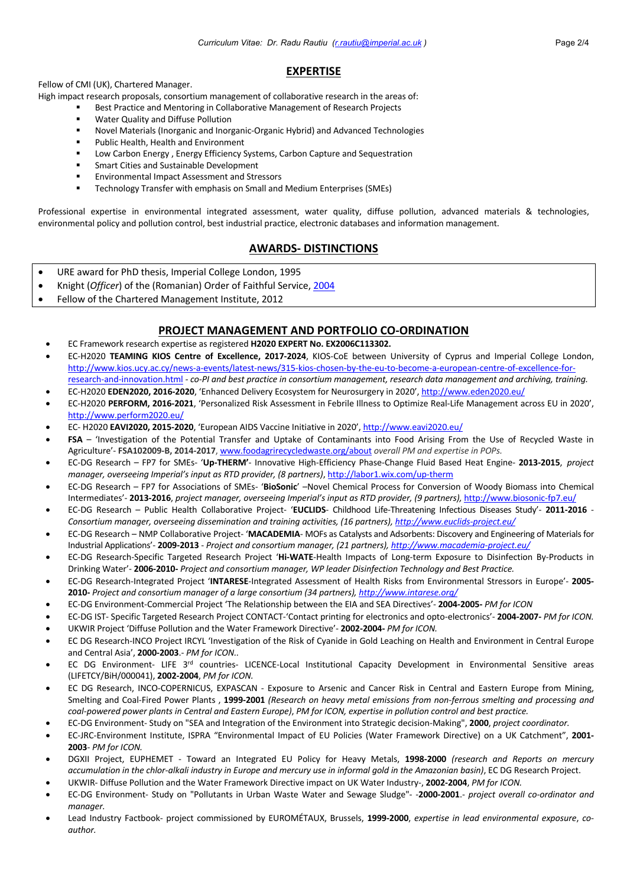#### **EXPERTISE**

Fellow of CMI (UK), Chartered Manager.

High impact research proposals, consortium management of collaborative research in the areas of:

- Best Practice and Mentoring in Collaborative Management of Research Projects
- § Water Quality and Diffuse Pollution
- § Novel Materials (Inorganic and Inorganic-Organic Hybrid) and Advanced Technologies
- § Public Health, Health and Environment
- Low Carbon Energy, Energy Efficiency Systems, Carbon Capture and Sequestration
- § Smart Cities and Sustainable Development
- § Environmental Impact Assessment and Stressors
- § Technology Transfer with emphasis on Small and Medium Enterprises (SMEs)

Professional expertise in environmental integrated assessment, water quality, diffuse pollution, advanced materials & technologies, environmental policy and pollution control, best industrial practice, electronic databases and information management.

#### **AWARDS- DISTINCTIONS**

- URE award for PhD thesis, Imperial College London, 1995
- Knight (*Officer*) of the (Romanian) Order of Faithful Service, 2004
- Fellow of the Chartered Management Institute, 2012

#### **PROJECT MANAGEMENT AND PORTFOLIO CO-ORDINATION**

- EC Framework research expertise as registered **H2020 EXPERT No. EX2006C113302.**
- EC-H2020 **TEAMING KIOS Centre of Excellence, 2017-2024**, KIOS-CoE between University of Cyprus and Imperial College London, http://www.kios.ucy.ac.cy/news-a-events/latest-news/315-kios-chosen-by-the-eu-to-become-a-european-centre-of-excellence-forresearch-and-innovation.html *- co-PI and best practice in consortium management, research data management and archiving, training.*
- EC-H2020 **EDEN2020, 2016-2020**, 'Enhanced Delivery Ecosystem for Neurosurgery in 2020', http://www.eden2020.eu/
- EC-H2020 **PERFORM, 2016-2021**, 'Personalized Risk Assessment in Febrile Illness to Optimize Real-Life Management across EU in 2020', http://www.perform2020.eu/
- EC- H2020 **EAVI2020, 2015-2020**, 'European AIDS Vaccine Initiative in 2020', http://www.eavi2020.eu/
- **FSA** 'Investigation of the Potential Transfer and Uptake of Contaminants into Food Arising From the Use of Recycled Waste in Agriculture'- **FSA102009-B, 2014-2017**, www.foodagrirecycledwaste.org/about *overall PM and expertise in POPs.*
- EC-DG Research FP7 for SMEs- '**Up-THERM'** Innovative High-Efficiency Phase-Change Fluid Based Heat Engine- **2013-2015**, *project manager, overseeing Imperial's input as RTD provider, (8 partners)*, http://labor1.wix.com/up-therm
- EC-DG Research FP7 for Associations of SMEs- '**BioSonic**' –Novel Chemical Process for Conversion of Woody Biomass into Chemical Intermediates'- **2013-2016**, *project manager, overseeing Imperial's input as RTD provider, (9 partners),* http://www.biosonic-fp7.eu/
- EC-DG Research Public Health Collaborative Project- '**EUCLIDS** Childhood Life-Threatening Infectious Diseases Study'- **2011-2016** *Consortium manager, overseeing dissemination and training activities, (16 partners), http://www.euclids-project.eu/*
- EC-DG Research NMP Collaborative Project- '**MACADEMIA** MOFs as Catalysts and Adsorbents: Discovery and Engineering of Materials for Industrial Applications'- **2009-2013** - *Project and consortium manager, (21 partners), http://www.macademia-project.eu/*
- EC-DG Research-Specific Targeted Research Project '**Hi-WATE**-Health Impacts of Long-term Exposure to Disinfection By-Products in Drinking Water'- **2006-2010-** *Project and consortium manager, WP leader Disinfection Technology and Best Practice.*
- EC-DG Research-Integrated Project '**INTARESE**-Integrated Assessment of Health Risks from Environmental Stressors in Europe'- **2005- 2010-** *Project and consortium manager of a large consortium (34 partners), http://www.intarese.org/*
- EC-DG Environment-Commercial Project 'The Relationship between the EIA and SEA Directives'- **2004-2005-** *PM for ICON*
- EC-DG IST- Specific Targeted Research Project CONTACT-'Contact printing for electronics and opto-electronics'- **2004-2007-** *PM for ICON.*
- UKWIR Project 'Diffuse Pollution and the Water Framework Directive'- **2002-2004-** *PM for ICON.*
- EC DG Research-INCO Project IRCYL 'Investigation of the Risk of Cyanide in Gold Leaching on Health and Environment in Central Europe and Central Asia', **2000-2003**.- *PM for ICON..*
- EC DG Environment- LIFE 3rd countries- LICENCE-Local Institutional Capacity Development in Environmental Sensitive areas (LIFETCY/BiH/000041), **2002-2004**, *PM for ICON.*
- EC DG Research, INCO-COPERNICUS, EXPASCAN Exposure to Arsenic and Cancer Risk in Central and Eastern Europe from Mining, Smelting and Coal-Fired Power Plants , **1999-2001** *(Research on heavy metal emissions from non-ferrous smelting and processing and coal-powered power plants in Central and Eastern Europe)*, *PM for ICON, expertise in pollution control and best practice.*
- EC-DG Environment- Study on "SEA and Integration of the Environment into Strategic decision-Making", **2000**, *project coordinator.*
- EC-JRC-Environment Institute, ISPRA "Environmental Impact of EU Policies (Water Framework Directive) on a UK Catchment", **2001- 2003**- *PM for ICON.*
- DGXII Project, EUPHEMET Toward an Integrated EU Policy for Heavy Metals, **1998-2000** *(research and Reports on mercury accumulation in the chlor-alkali industry in Europe and mercury use in informal gold in the Amazonian basin)*, EC DG Research Project.
- UKWIR- Diffuse Pollution and the Water Framework Directive impact on UK Water Industry-, **2002-2004**, *PM for ICON.*
- EC-DG Environment- Study on "Pollutants in Urban Waste Water and Sewage Sludge"- -**2000-2001**.- *project overall co-ordinator and manager.*
- Lead Industry Factbook- project commissioned by EUROMÉTAUX, Brussels, **1999-2000**, *expertise in lead environmental exposure*, *coauthor.*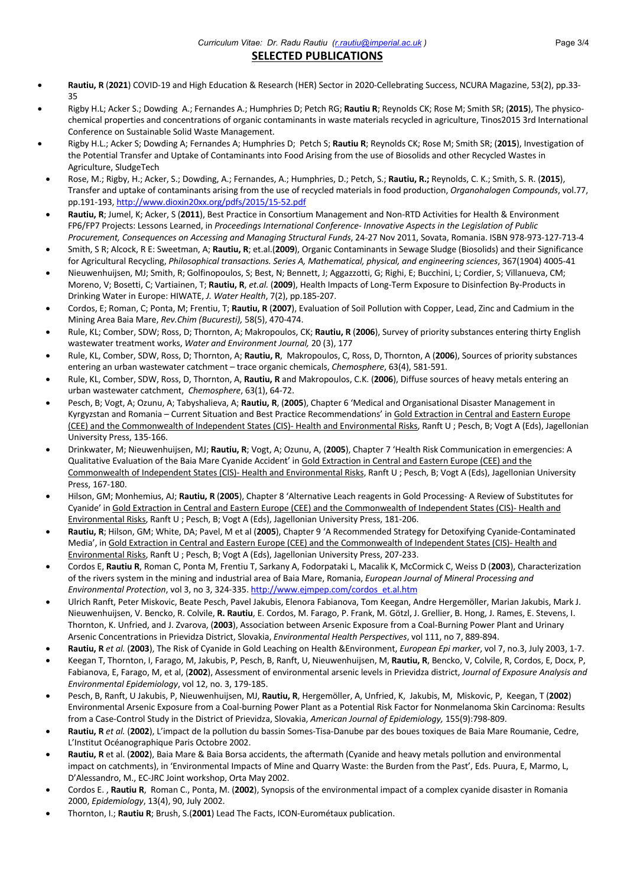- **Rautiu, R** (**2021**) COVID-19 and High Education & Research (HER) Sector in 2020-Cellebrating Success, NCURA Magazine, 53(2), pp.33- 35
- Rigby H.L; Acker S.; Dowding A.; Fernandes A.; Humphries D; Petch RG; **Rautiu R**; Reynolds CK; Rose M; Smith SR; (**2015**), The physicochemical properties and concentrations of organic contaminants in waste materials recycled in agriculture, Tinos2015 3rd International Conference on Sustainable Solid Waste Management.
- Rigby H.L.; Acker S; Dowding A; Fernandes A; Humphries D; Petch S; **Rautiu R**; Reynolds CK; Rose M; Smith SR; (**2015**), Investigation of the Potential Transfer and Uptake of Contaminants into Food Arising from the use of Biosolids and other Recycled Wastes in Agriculture, SludgeTech
- Rose, M.; Rigby, H.; Acker, S.; Dowding, A.; Fernandes, A.; Humphries, D.; Petch, S.; **Rautiu, R.;** Reynolds, C. K.; Smith, S. R. (**2015**), Transfer and uptake of contaminants arising from the use of recycled materials in food production, *Organohalogen Compounds*, vol.77, pp.191-193, http://www.dioxin20xx.org/pdfs/2015/15-52.pdf
- **Rautiu, R**; Jumel, K; Acker, S (**2011**), Best Practice in Consortium Management and Non-RTD Activities for Health & Environment FP6/FP7 Projects: Lessons Learned, in *Proceedings International Conference- Innovative Aspects in the Legislation of Public Procurement, Consequences on Accessing and Managing Structural Funds*, 24-27 Nov 2011, Sovata, Romania. ISBN 978-973-127-713-4
- Smith, S R; Alcock, R E: Sweetman, A; **Rautiu, R**; et.al.(**2009**), Organic Contaminants in Sewage Sludge (Biosolids) and their Significance for Agricultural Recycling, *Philosophical transactions. Series A, Mathematical, physical, and engineering sciences*, 367(1904) 4005-41
- Nieuwenhuijsen, MJ; Smith, R; Golfinopoulos, S; Best, N; Bennett, J; Aggazzotti, G; Righi, E; Bucchini, L; Cordier, S; Villanueva, CM; Moreno, V; Bosetti, C; Vartiainen, T; **Rautiu, R**, *et.al.* (**2009**), Health Impacts of Long-Term Exposure to Disinfection By-Products in Drinking Water in Europe: HIWATE, *J. Water Health*, 7(2), pp.185-207.
- Cordos, E; Roman, C; Ponta, M; Frentiu, T; **Rautiu, R** (**2007**), Evaluation of Soil Pollution with Copper, Lead, Zinc and Cadmium in the Mining Area Baia Mare, *Rev.Chim (Bucuresti),* 58(5), 470-474.
- Rule, KL; Comber, SDW; Ross, D; Thornton, A; Makropoulos, CK; **Rautiu, R** (**2006**), Survey of priority substances entering thirty English wastewater treatment works, *Water and Environment Journal,* 20 (3), 177
- Rule, KL, Comber, SDW, Ross, D; Thornton, A; **Rautiu, R**, Makropoulos, C, Ross, D, Thornton, A (**2006**), Sources of priority substances entering an urban wastewater catchment – trace organic chemicals, *Chemosphere*, 63(4), 581-591.
- Rule, KL, Comber, SDW, Ross, D, Thornton, A, **Rautiu, R** and Makropoulos, C.K. (**2006**), Diffuse sources of heavy metals entering an urban wastewater catchment, *Chemosphere*, 63(1), 64-72.
- Pesch, B; Vogt, A; Ozunu, A; Tabyshalieva, A; **Rautiu, R**, (**2005**), Chapter 6 'Medical and Organisational Disaster Management in Kyrgyzstan and Romania – Current Situation and Best Practice Recommendations' in Gold Extraction in Central and Eastern Europe (CEE) and the Commonwealth of Independent States (CIS)- Health and Environmental Risks, Ranft U ; Pesch, B; Vogt A (Eds), Jagellonian University Press, 135-166.
- Drinkwater, M; Nieuwenhuijsen, MJ; **Rautiu, R**; Vogt, A; Ozunu, A, (**2005**), Chapter 7 'Health Risk Communication in emergencies: A Qualitative Evaluation of the Baia Mare Cyanide Accident' in Gold Extraction in Central and Eastern Europe (CEE) and the Commonwealth of Independent States (CIS)- Health and Environmental Risks, Ranft U ; Pesch, B; Vogt A (Eds), Jagellonian University Press, 167-180.
- Hilson, GM; Monhemius, AJ; **Rautiu, R** (**2005**), Chapter 8 'Alternative Leach reagents in Gold Processing- A Review of Substitutes for Cyanide' in Gold Extraction in Central and Eastern Europe (CEE) and the Commonwealth of Independent States (CIS)- Health and Environmental Risks, Ranft U ; Pesch, B; Vogt A (Eds), Jagellonian University Press, 181-206.
- **Rautiu, R**; Hilson, GM; White, DA; Pavel, M et al (**2005**), Chapter 9 'A Recommended Strategy for Detoxifying Cyanide-Contaminated Media', in Gold Extraction in Central and Eastern Europe (CEE) and the Commonwealth of Independent States (CIS)- Health and Environmental Risks, Ranft U ; Pesch, B; Vogt A (Eds), Jagellonian University Press, 207-233.
- Cordos E, **Rautiu R**, Roman C, Ponta M, Frentiu T, Sarkany A, Fodorpataki L, Macalik K, McCormick C, Weiss D (**2003**), Characterization of the rivers system in the mining and industrial area of Baia Mare, Romania, *European Journal of Mineral Processing and Environmental Protection*, vol 3, no 3, 324-335. http://www.ejmpep.com/cordos\_et.al.htm
- Ulrich Ranft, Peter Miskovic, Beate Pesch, Pavel Jakubis, Elenora Fabianova, Tom Keegan, Andre Hergemöller, Marian Jakubis, Mark J. Nieuwenhuijsen, V. Bencko, R. Colvile, **R. Rautiu**, E. Cordos, M. Farago, P. Frank, M. Götzl, J. Grellier, B. Hong, J. Rames, E. Stevens, I. Thornton, K. Unfried, and J. Zvarova, (**2003**), Association between Arsenic Exposure from a Coal-Burning Power Plant and Urinary Arsenic Concentrations in Prievidza District, Slovakia, *Environmental Health Perspectives*, vol 111, no 7, 889-894.
- **Rautiu, R** *et al.* (**2003**), The Risk of Cyanide in Gold Leaching on Health &Environment, *European Epi marker*, vol 7, no.3, July 2003, 1-7.
- Keegan T, Thornton, I, Farago, M, Jakubis, P, Pesch, B, Ranft, U, Nieuwenhuijsen, M, **Rautiu, R**, Bencko, V, Colvile, R, Cordos, E, Docx, P, Fabianova, E, Farago, M, et al, (**2002**), Assessment of environmental arsenic levels in Prievidza district, *Journal of Exposure Analysis and Environmental Epidemiology*, vol 12, no. 3, 179-185.
- Pesch, B, Ranft, U Jakubis, P, Nieuwenhuijsen, MJ, **Rautiu, R**, Hergemöller, A, Unfried, K, Jakubis, M, Miskovic, P, Keegan, T (**2002**) Environmental Arsenic Exposure from a Coal-burning Power Plant as a Potential Risk Factor for Nonmelanoma Skin Carcinoma: Results from a Case-Control Study in the District of Prievidza, Slovakia, *American Journal of Epidemiology,* 155(9):798-809.
- **Rautiu, R** *et al.* (**2002**), L'impact de la pollution du bassin Somes-Tisa-Danube par des boues toxiques de Baia Mare Roumanie, Cedre, L'Institut Océanographique Paris Octobre 2002.
- **Rautiu, R** et al. (**2002**), Baia Mare & Baia Borsa accidents, the aftermath (Cyanide and heavy metals pollution and environmental impact on catchments), in 'Environmental Impacts of Mine and Quarry Waste: the Burden from the Past', Eds. Puura, E, Marmo, L, D'Alessandro, M., EC-JRC Joint workshop, Orta May 2002.
- Cordos E. , **Rautiu R**, Roman C., Ponta, M. (**2002**), Synopsis of the environmental impact of a complex cyanide disaster in Romania 2000, *Epidemiology*, 13(4), 90, July 2002.
- Thornton, I.; **Rautiu R**; Brush, S.(**2001**) Lead The Facts, ICON-Eurométaux publication.